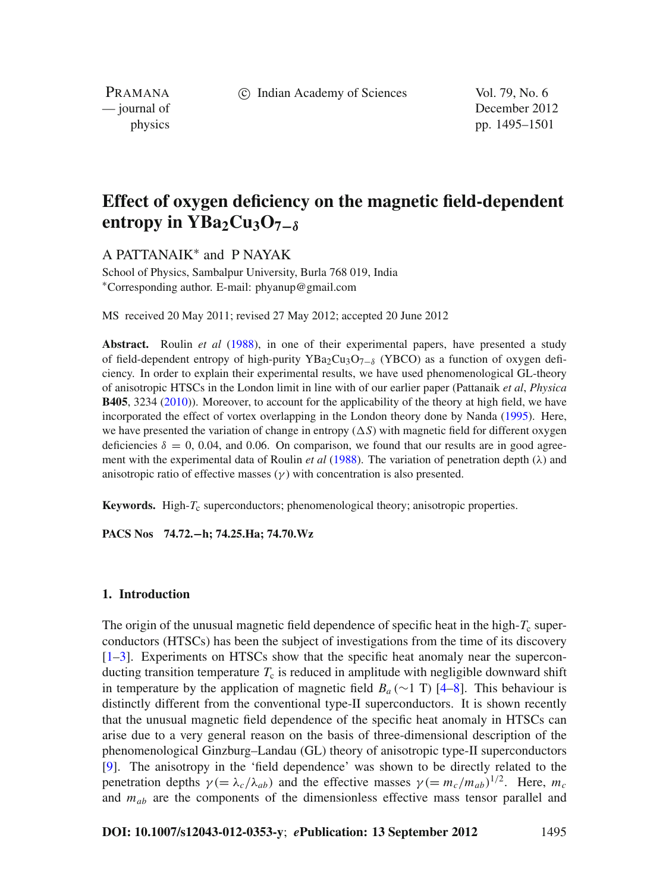c Indian Academy of Sciences Vol. 79, No. 6

PRAMANA

— journal of December 2012 physics pp. 1495–1501

# **Effect of oxygen deficiency on the magnetic field-dependent entropy in YBa<sub>2</sub>Cu<sub>3</sub>O<sub>7−δ</sub>**

A PATTANAIK<sup>∗</sup> and P NAYAK

School of Physics, Sambalpur University, Burla 768 019, India <sup>∗</sup>Corresponding author. E-mail: phyanup@gmail.com

MS received 20 May 2011; revised 27 May 2012; accepted 20 June 2012

**Abstract.** Roulin *et al* [\(1988\)](#page-6-0), in one of their experimental papers, have presented a study of field-dependent entropy of high-purity YBa<sub>2</sub>Cu<sub>3</sub>O<sub>7−δ</sub> (YBCO) as a function of oxygen deficiency. In order to explain their experimental results, we have used phenomenological GL-theory of anisotropic HTSCs in the London limit in line with of our earlier paper (Pattanaik *et al*, *Physica* **B405**, 3234 [\(2010\)](#page-6-1)). Moreover, to account for the applicability of the theory at high field, we have incorporated the effect of vortex overlapping in the London theory done by Nanda [\(1995\)](#page-6-2). Here, we have presented the variation of change in entropy  $(\Delta S)$  with magnetic field for different oxygen deficiencies  $\delta = 0, 0.04$ , and 0.06. On comparison, we found that our results are in good agreement with the experimental data of Roulin *et al* [\(1988\)](#page-6-0). The variation of penetration depth ( $\lambda$ ) and anisotropic ratio of effective masses  $(\gamma)$  with concentration is also presented.

**Keywords.** High- $T_c$  superconductors; phenomenological theory; anisotropic properties.

**PACS Nos 74.72.−h; 74.25.Ha; 74.70.Wz**

#### **1. Introduction**

The origin of the unusual magnetic field dependence of specific heat in the high- $T_c$  superconductors (HTSCs) has been the subject of investigations from the time of its discovery  $[1–3]$  $[1–3]$  $[1–3]$ . Experiments on HTSCs show that the specific heat anomaly near the superconducting transition temperature  $T_c$  is reduced in amplitude with negligible downward shift in temperature by the application of magnetic field  $B_a$  (∼1 T) [\[4](#page-6-5)[–8\]](#page-6-6). This behaviour is distinctly different from the conventional type-II superconductors. It is shown recently that the unusual magnetic field dependence of the specific heat anomaly in HTSCs can arise due to a very general reason on the basis of three-dimensional description of the phenomenological Ginzburg–Landau (GL) theory of anisotropic type-II superconductors [\[9](#page-6-7)]. The anisotropy in the 'field dependence' was shown to be directly related to the penetration depths  $\gamma = \lambda_c / \lambda_{ab}$ ) and the effective masses  $\gamma = (m_c / m_{ab})^{1/2}$ . Here,  $m_c$ and *mab* are the components of the dimensionless effective mass tensor parallel and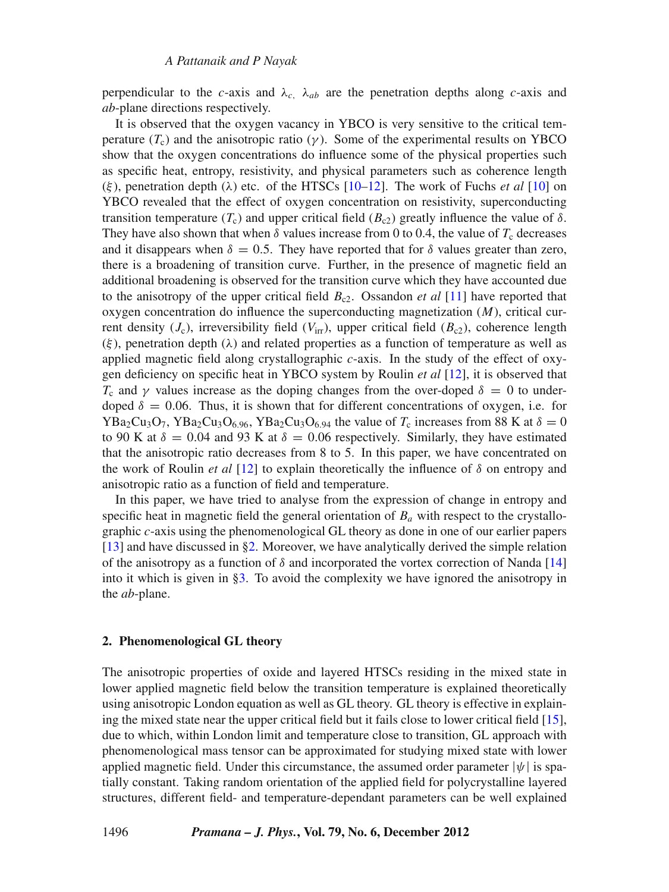perpendicular to the *c*-axis and  $\lambda_c$ ,  $\lambda_{ab}$  are the penetration depths along *c*-axis and *ab*-plane directions respectively.

It is observed that the oxygen vacancy in YBCO is very sensitive to the critical temperature  $(T_c)$  and the anisotropic ratio  $(y)$ . Some of the experimental results on YBCO show that the oxygen concentrations do influence some of the physical properties such as specific heat, entropy, resistivity, and physical parameters such as coherence length  $(\xi)$ , penetration depth  $(\lambda)$  etc. of the HTSCs [\[10](#page-6-8)[–12](#page-6-9)]. The work of Fuchs *et al* [\[10\]](#page-6-8) on YBCO revealed that the effect of oxygen concentration on resistivity, superconducting transition temperature  $(T_c)$  and upper critical field  $(B_c)$  greatly influence the value of  $\delta$ . They have also shown that when  $\delta$  values increase from 0 to 0.4, the value of  $T_c$  decreases and it disappears when  $\delta = 0.5$ . They have reported that for  $\delta$  values greater than zero, there is a broadening of transition curve. Further, in the presence of magnetic field an additional broadening is observed for the transition curve which they have accounted due to the anisotropy of the upper critical field *B*c2. Ossandon *et al* [\[11\]](#page-6-10) have reported that oxygen concentration do influence the superconducting magnetization (*M*), critical current density  $(J_c)$ , irreversibility field  $(V_{irr})$ , upper critical field  $(B_{c2})$ , coherence length  $(\xi)$ , penetration depth  $(\lambda)$  and related properties as a function of temperature as well as applied magnetic field along crystallographic *c*-axis. In the study of the effect of oxygen deficiency on specific heat in YBCO system by Roulin *et al* [\[12](#page-6-9)], it is observed that *T*<sub>c</sub> and γ values increase as the doping changes from the over-doped  $δ = 0$  to underdoped  $\delta = 0.06$ . Thus, it is shown that for different concentrations of oxygen, i.e. for YBa<sub>2</sub>Cu<sub>3</sub>O<sub>7</sub>, YBa<sub>2</sub>Cu<sub>3</sub>O<sub>6.96</sub>, YBa<sub>2</sub>Cu<sub>3</sub>O<sub>6.94</sub> the value of  $T_c$  increases from 88 K at  $\delta = 0$ to 90 K at  $\delta = 0.04$  and 93 K at  $\delta = 0.06$  respectively. Similarly, they have estimated that the anisotropic ratio decreases from 8 to 5. In this paper, we have concentrated on the work of Roulin *et al* [\[12\]](#page-6-9) to explain theoretically the influence of  $\delta$  on entropy and anisotropic ratio as a function of field and temperature.

In this paper, we have tried to analyse from the expression of change in entropy and specific heat in magnetic field the general orientation of  $B_a$  with respect to the crystallographic *c*-axis using the phenomenological GL theory as done in one of our earlier papers [\[13](#page-6-1)] and have discussed in [§2.](#page-1-0) Moreover, we have analytically derived the simple relation of the anisotropy as a function of  $\delta$  and incorporated the vortex correction of Nanda [\[14\]](#page-6-2) into it which is given in [§3.](#page-2-0) To avoid the complexity we have ignored the anisotropy in the *ab*-plane.

#### <span id="page-1-0"></span>**2. Phenomenological GL theory**

The anisotropic properties of oxide and layered HTSCs residing in the mixed state in lower applied magnetic field below the transition temperature is explained theoretically using anisotropic London equation as well as GL theory. GL theory is effective in explaining the mixed state near the upper critical field but it fails close to lower critical field [\[15](#page-6-11)], due to which, within London limit and temperature close to transition, GL approach with phenomenological mass tensor can be approximated for studying mixed state with lower applied magnetic field. Under this circumstance, the assumed order parameter  $|\psi|$  is spatially constant. Taking random orientation of the applied field for polycrystalline layered structures, different field- and temperature-dependant parameters can be well explained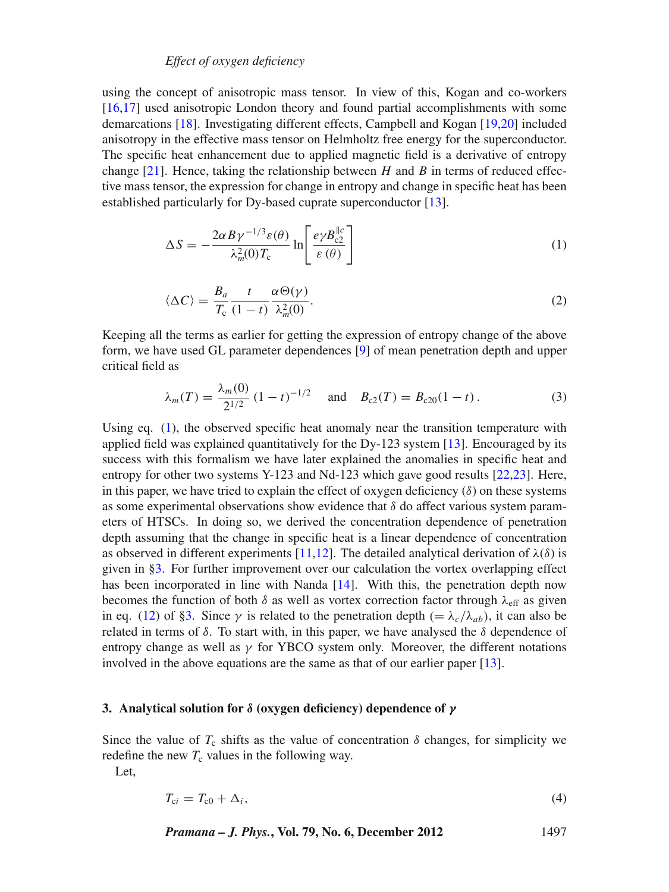## *Effect of oxygen deficiency*

using the concept of anisotropic mass tensor. In view of this, Kogan and co-workers [\[16](#page-6-12)[,17\]](#page-6-13) used anisotropic London theory and found partial accomplishments with some demarcations [\[18](#page-6-14)]. Investigating different effects, Campbell and Kogan [\[19](#page-6-15)[,20\]](#page-6-16) included anisotropy in the effective mass tensor on Helmholtz free energy for the superconductor. The specific heat enhancement due to applied magnetic field is a derivative of entropy change  $[21]$  $[21]$ . Hence, taking the relationship between *H* and *B* in terms of reduced effective mass tensor, the expression for change in entropy and change in specific heat has been established particularly for Dy-based cuprate superconductor [\[13\]](#page-6-1).

<span id="page-2-1"></span>
$$
\Delta S = -\frac{2\alpha B \gamma^{-1/3} \varepsilon(\theta)}{\lambda_m^2(0) T_c} \ln \left[ \frac{e \gamma B_{c2}^{\parallel c}}{\varepsilon(\theta)} \right]
$$
(1)

$$
\langle \Delta C \rangle = \frac{B_a}{T_c} \frac{t}{(1-t)} \frac{\alpha \Theta(\gamma)}{\lambda_m^2(0)}.
$$
 (2)

<span id="page-2-2"></span>Keeping all the terms as earlier for getting the expression of entropy change of the above form, we have used GL parameter dependences [\[9](#page-6-7)] of mean penetration depth and upper critical field as

$$
\lambda_m(T) = \frac{\lambda_m(0)}{2^{1/2}} (1 - t)^{-1/2} \quad \text{and} \quad B_{c2}(T) = B_{c20}(1 - t) \,. \tag{3}
$$

Using eq. [\(1\)](#page-2-1), the observed specific heat anomaly near the transition temperature with applied field was explained quantitatively for the Dy-123 system [\[13](#page-6-1)]. Encouraged by its success with this formalism we have later explained the anomalies in specific heat and entropy for other two systems Y-123 and Nd-123 which gave good results [\[22](#page-6-18)[,23](#page-6-19)]. Here, in this paper, we have tried to explain the effect of oxygen deficiency  $(\delta)$  on these systems as some experimental observations show evidence that  $\delta$  do affect various system parameters of HTSCs. In doing so, we derived the concentration dependence of penetration depth assuming that the change in specific heat is a linear dependence of concentration as observed in different experiments [\[11](#page-6-10)[,12\]](#page-6-9). The detailed analytical derivation of  $\lambda(\delta)$  is given in [§3.](#page-2-0) For further improvement over our calculation the vortex overlapping effect has been incorporated in line with Nanda [\[14](#page-6-2)]. With this, the penetration depth now becomes the function of both  $\delta$  as well as vortex correction factor through  $\lambda_{\text{eff}}$  as given in eq. [\(12\)](#page-3-0) of [§3.](#page-2-0) Since  $\gamma$  is related to the penetration depth (=  $\lambda_c/\lambda_{ab}$ ), it can also be related in terms of  $\delta$ . To start with, in this paper, we have analysed the  $\delta$  dependence of entropy change as well as  $\gamma$  for YBCO system only. Moreover, the different notations involved in the above equations are the same as that of our earlier paper [\[13](#page-6-1)].

#### <span id="page-2-0"></span>**3. Analytical solution for** *δ* **(oxygen deficiency) dependence of** *γ*

Since the value of  $T_c$  shifts as the value of concentration  $\delta$  changes, for simplicity we redefine the new  $T_c$  values in the following way.

<span id="page-2-3"></span>Let,

$$
T_{ci} = T_{c0} + \Delta_i, \tag{4}
$$

*Pramana – J. Phys.***, Vol. 79, No. 6, December 2012** 1497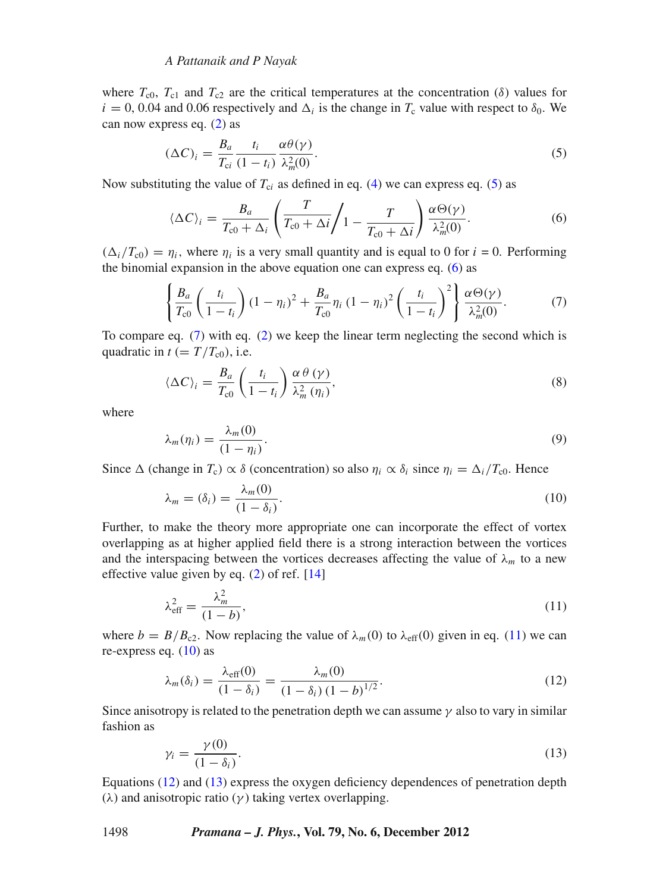#### *A Pattanaik and P Nayak*

where  $T_{c0}$ ,  $T_{c1}$  and  $T_{c2}$  are the critical temperatures at the concentration ( $\delta$ ) values for  $i = 0, 0.04$  and 0.06 respectively and  $\Delta_i$  is the change in  $T_c$  value with respect to  $\delta_0$ . We can now express eq. [\(2\)](#page-2-2) as

<span id="page-3-1"></span>
$$
(\Delta C)_i = \frac{B_a}{T_{ci}} \frac{t_i}{(1 - t_i)} \frac{\alpha \theta(\gamma)}{\lambda_m^2(0)}.
$$
\n<sup>(5)</sup>

Now substituting the value of  $T_{ci}$  as defined in eq. [\(4\)](#page-2-3) we can express eq. [\(5\)](#page-3-1) as

<span id="page-3-2"></span>
$$
\langle \Delta C \rangle_i = \frac{B_a}{T_{c0} + \Delta_i} \left( \frac{T}{T_{c0} + \Delta i} / 1 - \frac{T}{T_{c0} + \Delta i} \right) \frac{\alpha \Theta(\gamma)}{\lambda_m^2(0)}.
$$
 (6)

 $(\Delta_i/T_{c0}) = \eta_i$ , where  $\eta_i$  is a very small quantity and is equal to 0 for  $i = 0$ . Performing the binomial expansion in the above equation one can express eq. [\(6\)](#page-3-2) as

<span id="page-3-3"></span>
$$
\left\{\frac{B_a}{T_{c0}}\left(\frac{t_i}{1-t_i}\right)(1-\eta_i)^2+\frac{B_a}{T_{c0}}\eta_i(1-\eta_i)^2\left(\frac{t_i}{1-t_i}\right)^2\right\}\frac{\alpha\Theta(\gamma)}{\lambda_m^2(0)}.
$$
\n(7)

To compare eq. [\(7\)](#page-3-3) with eq. [\(2\)](#page-2-2) we keep the linear term neglecting the second which is quadratic in  $t (= T/T_{c0})$ , i.e.

$$
\langle \Delta C \rangle_i = \frac{B_a}{T_{\rm c0}} \left( \frac{t_i}{1 - t_i} \right) \frac{\alpha \theta (\gamma)}{\lambda_m^2 (\eta_i)},\tag{8}
$$

where

<span id="page-3-5"></span>
$$
\lambda_m(\eta_i) = \frac{\lambda_m(0)}{(1 - \eta_i)}.\tag{9}
$$

Since  $\Delta$  (change in  $T_c$ )  $\alpha \delta$  (concentration) so also  $\eta_i \alpha \delta_i$  since  $\eta_i = \Delta_i/T_{c0}$ . Hence

$$
\lambda_m = (\delta_i) = \frac{\lambda_m(0)}{(1 - \delta_i)}.
$$
\n(10)

Further, to make the theory more appropriate one can incorporate the effect of vortex overlapping as at higher applied field there is a strong interaction between the vortices and the interspacing between the vortices decreases affecting the value of  $\lambda_m$  to a new effective value given by eq. [\(2\)](#page-2-2) of ref. [\[14\]](#page-6-2)

<span id="page-3-4"></span>
$$
\lambda_{\text{eff}}^2 = \frac{\lambda_m^2}{(1 - b)},\tag{11}
$$

where  $b = B/B_{c2}$ . Now replacing the value of  $\lambda_m(0)$  to  $\lambda_{\text{eff}}(0)$  given in eq. [\(11\)](#page-3-4) we can re-express eq.  $(10)$  as

<span id="page-3-0"></span>
$$
\lambda_m(\delta_i) = \frac{\lambda_{\text{eff}}(0)}{(1 - \delta_i)} = \frac{\lambda_m(0)}{(1 - \delta_i)(1 - b)^{1/2}}.
$$
\n(12)

Since anisotropy is related to the penetration depth we can assume  $\gamma$  also to vary in similar fashion as

<span id="page-3-6"></span>
$$
\gamma_i = \frac{\gamma(0)}{(1 - \delta_i)}.\tag{13}
$$

Equations [\(12\)](#page-3-0) and [\(13\)](#page-3-6) express the oxygen deficiency dependences of penetration depth (λ) and anisotropic ratio ( $γ$ ) taking vertex overlapping.

#### 1498 *Pramana – J. Phys.***, Vol. 79, No. 6, December 2012**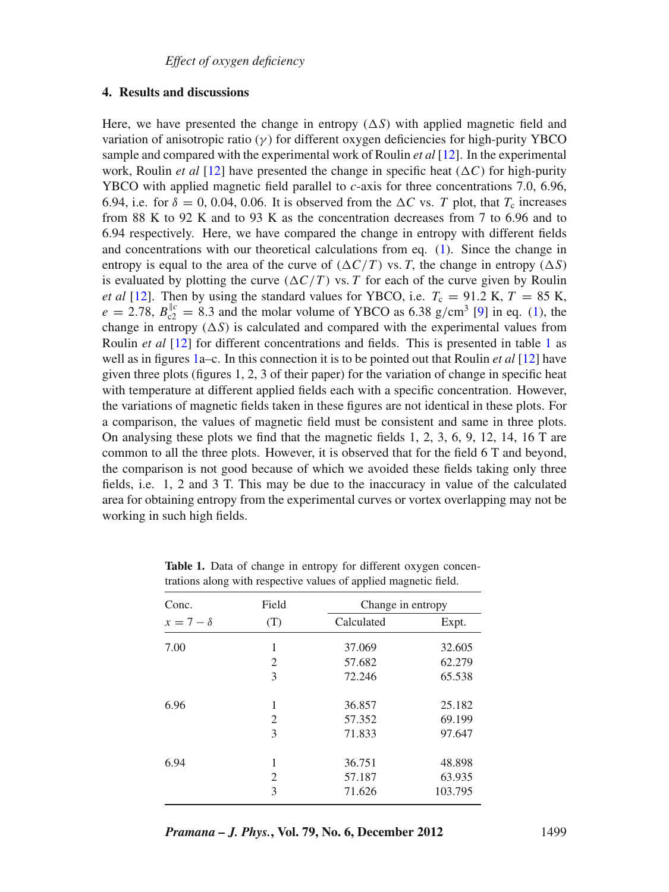#### **4. Results and discussions**

Here, we have presented the change in entropy  $(\Delta S)$  with applied magnetic field and variation of anisotropic ratio  $(\gamma)$  for different oxygen deficiencies for high-purity YBCO sample and compared with the experimental work of Roulin *et al* [\[12](#page-6-9)]. In the experimental work, Roulin *et al* [\[12](#page-6-9)] have presented the change in specific heat  $(\Delta C)$  for high-purity YBCO with applied magnetic field parallel to *c*-axis for three concentrations 7.0, 6.96, 6.94, i.e. for  $\delta = 0$ , 0.04, 0.06. It is observed from the  $\Delta C$  vs. *T* plot, that  $T_c$  increases from 88 K to 92 K and to 93 K as the concentration decreases from 7 to 6.96 and to 6.94 respectively. Here, we have compared the change in entropy with different fields and concentrations with our theoretical calculations from eq. [\(1\)](#page-2-1). Since the change in entropy is equal to the area of the curve of  $(\Delta C/T)$  vs. *T*, the change in entropy  $(\Delta S)$ is evaluated by plotting the curve  $(\Delta C/T)$  vs. *T* for each of the curve given by Roulin *et al* [\[12](#page-6-9)]. Then by using the standard values for YBCO, i.e.  $T_c = 91.2$  K,  $T = 85$  K,  $e = 2.78$ ,  $B_{c2}^{||c} = 8.3$  and the molar volume of YBCO as 6.38 g/cm<sup>3</sup> [\[9](#page-6-7)] in eq. [\(1\)](#page-2-1), the change in entropy  $(\Delta S)$  is calculated and compared with the experimental values from Roulin *et al* [\[12\]](#page-6-9) for different concentrations and fields. This is presented in table [1](#page-4-0) as well as in figures [1a](#page-5-0)–c. In this connection it is to be pointed out that Roulin *et al* [\[12](#page-6-9)] have given three plots (figures 1, 2, 3 of their paper) for the variation of change in specific heat with temperature at different applied fields each with a specific concentration. However, the variations of magnetic fields taken in these figures are not identical in these plots. For a comparison, the values of magnetic field must be consistent and same in three plots. On analysing these plots we find that the magnetic fields 1, 2, 3, 6, 9, 12, 14, 16 T are common to all the three plots. However, it is observed that for the field 6 T and beyond, the comparison is not good because of which we avoided these fields taking only three fields, i.e. 1, 2 and 3 T. This may be due to the inaccuracy in value of the calculated area for obtaining entropy from the experimental curves or vortex overlapping may not be working in such high fields.

| Conc.<br>$x=7-\delta$ | Field<br>(T)   | Change in entropy |         |
|-----------------------|----------------|-------------------|---------|
|                       |                | Calculated        | Expt.   |
| 7.00                  | 1              | 37.069            | 32.605  |
|                       | 2              | 57.682            | 62.279  |
|                       | 3              | 72.246            | 65.538  |
| 6.96                  | 1              | 36.857            | 25.182  |
|                       | $\mathfrak{D}$ | 57.352            | 69.199  |
|                       | 3              | 71.833            | 97.647  |
| 6.94                  | 1              | 36.751            | 48.898  |
|                       | 2              | 57.187            | 63.935  |
|                       | 3              | 71.626            | 103.795 |

<span id="page-4-0"></span>**Table 1.** Data of change in entropy for different oxygen concentrations along with respective values of applied magnetic field.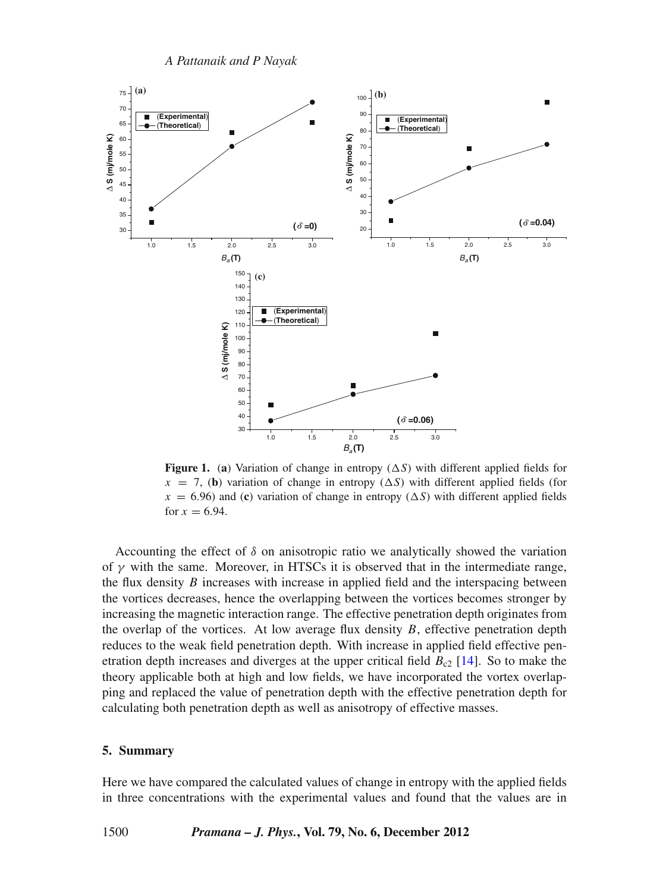<span id="page-5-0"></span>

**Figure 1.** (a) Variation of change in entropy  $(\Delta S)$  with different applied fields for  $x = 7$ , (b) variation of change in entropy ( $\Delta S$ ) with different applied fields (for  $x = 6.96$ ) and (**c**) variation of change in entropy ( $\Delta S$ ) with different applied fields for  $x = 6.94$ .

Accounting the effect of  $\delta$  on anisotropic ratio we analytically showed the variation of  $\gamma$  with the same. Moreover, in HTSCs it is observed that in the intermediate range, the flux density *B* increases with increase in applied field and the interspacing between the vortices decreases, hence the overlapping between the vortices becomes stronger by increasing the magnetic interaction range. The effective penetration depth originates from the overlap of the vortices. At low average flux density  $B$ , effective penetration depth reduces to the weak field penetration depth. With increase in applied field effective penetration depth increases and diverges at the upper critical field  $B_{c2}$  [\[14](#page-6-2)]. So to make the theory applicable both at high and low fields, we have incorporated the vortex overlapping and replaced the value of penetration depth with the effective penetration depth for calculating both penetration depth as well as anisotropy of effective masses.

#### **5. Summary**

Here we have compared the calculated values of change in entropy with the applied fields in three concentrations with the experimental values and found that the values are in

1500 *Pramana – J. Phys.***, Vol. 79, No. 6, December 2012**